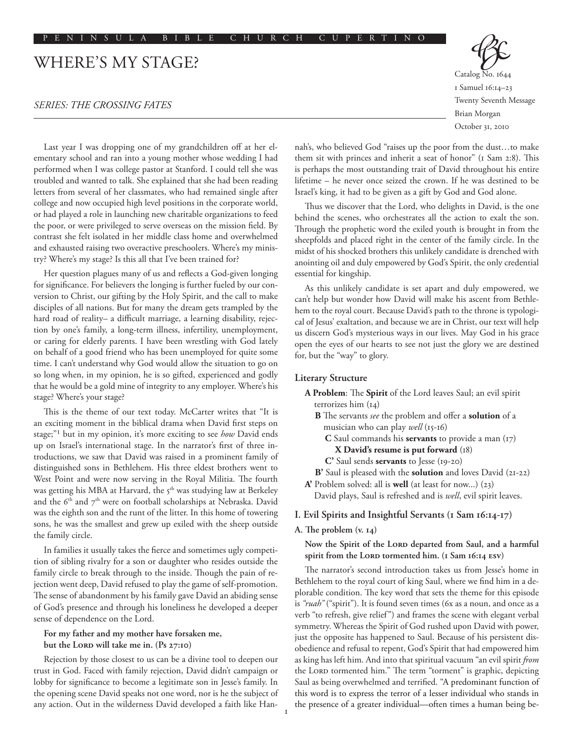# WHERE'S MY STAGE?

## *SERIES: THE CROSSING FATES*

Last year I was dropping one of my grandchildren off at her elementary school and ran into a young mother whose wedding I had performed when I was college pastor at Stanford. I could tell she was troubled and wanted to talk. She explained that she had been reading letters from several of her classmates, who had remained single after college and now occupied high level positions in the corporate world, or had played a role in launching new charitable organizations to feed the poor, or were privileged to serve overseas on the mission field. By contrast she felt isolated in her middle class home and overwhelmed and exhausted raising two overactive preschoolers. Where's my ministry? Where's my stage? Is this all that I've been trained for?

Her question plagues many of us and reflects a God-given longing for significance. For believers the longing is further fueled by our conversion to Christ, our gifting by the Holy Spirit, and the call to make disciples of all nations. But for many the dream gets trampled by the hard road of reality– a difficult marriage, a learning disability, rejection by one's family, a long-term illness, infertility, unemployment, or caring for elderly parents. I have been wrestling with God lately on behalf of a good friend who has been unemployed for quite some time. I can't understand why God would allow the situation to go on so long when, in my opinion, he is so gifted, experienced and godly that he would be a gold mine of integrity to any employer. Where's his stage? Where's your stage?

This is the theme of our text today. McCarter writes that "It is an exciting moment in the biblical drama when David first steps on stage;"1 but in my opinion, it's more exciting to see *how* David ends up on Israel's international stage. In the narrator's first of three introductions, we saw that David was raised in a prominent family of distinguished sons in Bethlehem. His three eldest brothers went to West Point and were now serving in the Royal Militia. The fourth was getting his MBA at Harvard, the 5<sup>th</sup> was studying law at Berkeley and the  $6<sup>th</sup>$  and  $7<sup>th</sup>$  were on football scholarships at Nebraska. David was the eighth son and the runt of the litter. In this home of towering sons, he was the smallest and grew up exiled with the sheep outside the family circle.

In families it usually takes the fierce and sometimes ugly competition of sibling rivalry for a son or daughter who resides outside the family circle to break through to the inside. Though the pain of rejection went deep, David refused to play the game of self-promotion. The sense of abandonment by his family gave David an abiding sense of God's presence and through his loneliness he developed a deeper sense of dependence on the Lord.

## **For my father and my mother have forsaken me,** but the LORD will take me in. (Ps 27:10)

Rejection by those closest to us can be a divine tool to deepen our trust in God. Faced with family rejection, David didn't campaign or lobby for significance to become a legitimate son in Jesse's family. In the opening scene David speaks not one word, nor is he the subject of any action. Out in the wilderness David developed a faith like HanCatalog No. 1644 1 Samuel 16:14–23 Twenty Seventh Message Brian Morgan October 31, 2010

nah's, who believed God "raises up the poor from the dust…to make them sit with princes and inherit a seat of honor" (1 Sam 2:8). This is perhaps the most outstanding trait of David throughout his entire lifetime – he never once seized the crown. If he was destined to be Israel's king, it had to be given as a gift by God and God alone.

Thus we discover that the Lord, who delights in David, is the one behind the scenes, who orchestrates all the action to exalt the son. Through the prophetic word the exiled youth is brought in from the sheepfolds and placed right in the center of the family circle. In the midst of his shocked brothers this unlikely candidate is drenched with anointing oil and duly empowered by God's Spirit, the only credential essential for kingship.

As this unlikely candidate is set apart and duly empowered, we can't help but wonder how David will make his ascent from Bethlehem to the royal court. Because David's path to the throne is typological of Jesus' exaltation, and because we are in Christ, our text will help us discern God's mysterious ways in our lives. May God in his grace open the eyes of our hearts to see not just the glory we are destined for, but the "way" to glory.

### **Literary Structure**

- **A Problem**: The **Spirit** of the Lord leaves Saul; an evil spirit terrorizes him (14)
	- **B** The servants *see* the problem and offer a **solution** of a musician who can play *well* (15-16)
		- **C** Saul commands his **servants** to provide a man (17)  **X David's resume is put forward** (18)
		- **C'** Saul sends **servants** to Jesse (19-20)
	- **B'** Saul is pleased with the **solution** and loves David (21-22)
- **A'** Problem solved: all is **well** (at least for now...) (23)

David plays, Saul is refreshed and is *well*, evil spirit leaves.

## **I. Evil Spirits and Insightful Servants (1 Sam 16:14-17)**

#### **A. The problem (v. 14)**

### Now the Spirit of the Lor<sub>D</sub> departed from Saul, and a harmful spirit from the LORD tormented him. (1 Sam 16:14 ESV)

The narrator's second introduction takes us from Jesse's home in Bethlehem to the royal court of king Saul, where we find him in a deplorable condition. The key word that sets the theme for this episode is *"ruah"* ("spirit"). It is found seven times (6x as a noun, and once as a verb "to refresh, give relief") and frames the scene with elegant verbal symmetry. Whereas the Spirit of God rushed upon David with power, just the opposite has happened to Saul. Because of his persistent disobedience and refusal to repent, God's Spirit that had empowered him as king has left him. And into that spiritual vacuum "an evil spirit *from* the Lord tormented him." The term "torment" is graphic, depicting Saul as being overwhelmed and terrified. "A predominant function of this word is to express the terror of a lesser individual who stands in the presence of a greater individual—often times a human being be-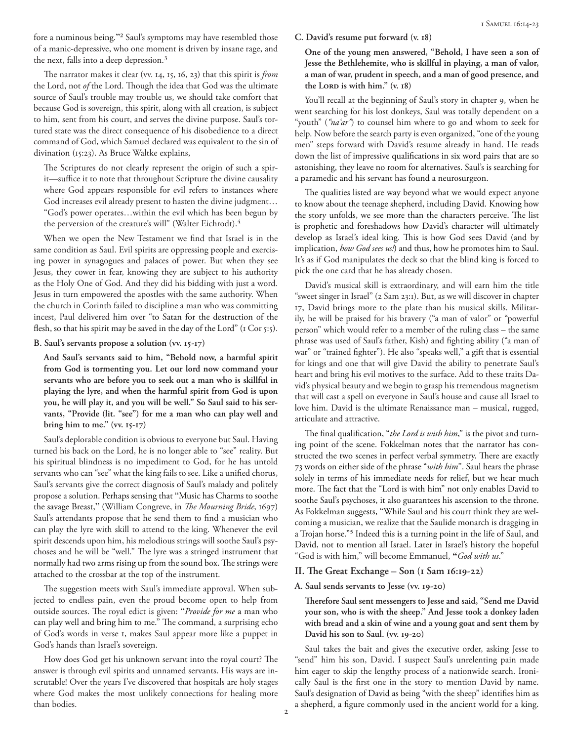fore a numinous being."2 Saul's symptoms may have resembled those of a manic-depressive, who one moment is driven by insane rage, and the next, falls into a deep depression.3

The narrator makes it clear (vv. 14, 15, 16, 23) that this spirit is *from* the Lord, not *of* the Lord. Though the idea that God was the ultimate source of Saul's trouble may trouble us, we should take comfort that because God is sovereign, this spirit, along with all creation, is subject to him, sent from his court, and serves the divine purpose. Saul's tortured state was the direct consequence of his disobedience to a direct command of God, which Samuel declared was equivalent to the sin of divination (15:23). As Bruce Waltke explains,

The Scriptures do not clearly represent the origin of such a spirit—suffice it to note that throughout Scripture the divine causality where God appears responsible for evil refers to instances where God increases evil already present to hasten the divine judgment… "God's power operates…within the evil which has been begun by the perversion of the creature's will" (Walter Eichrodt).<sup>4</sup>

When we open the New Testament we find that Israel is in the same condition as Saul. Evil spirits are oppressing people and exercising power in synagogues and palaces of power. But when they see Jesus, they cower in fear, knowing they are subject to his authority as the Holy One of God. And they did his bidding with just a word. Jesus in turn empowered the apostles with the same authority. When the church in Corinth failed to discipline a man who was committing incest, Paul delivered him over "to Satan for the destruction of the flesh, so that his spirit may be saved in the day of the Lord" (1 Cor 5:5).

**B. Saul's servants propose a solution (vv. 15-17)**

**And Saul's servants said to him, "Behold now, a harmful spirit from God is tormenting you. Let our lord now command your servants who are before you to seek out a man who is skillful in playing the lyre, and when the harmful spirit from God is upon you, he will play it, and you will be well." So Saul said to his servants, "Provide (lit. "see") for me a man who can play well and bring him to me." (vv. 15-17)**

Saul's deplorable condition is obvious to everyone but Saul. Having turned his back on the Lord, he is no longer able to "see" reality. But his spiritual blindness is no impediment to God, for he has untold servants who can "see" what the king fails to see. Like a unified chorus, Saul's servants give the correct diagnosis of Saul's malady and politely propose a solution. Perhaps sensing that "Music has Charms to soothe the savage Breast," (William Congreve, in *The Mourning Bride*, 1697) Saul's attendants propose that he send them to find a musician who can play the lyre with skill to attend to the king. Whenever the evil spirit descends upon him, his melodious strings will soothe Saul's psychoses and he will be "well." The lyre was a stringed instrument that normally had two arms rising up from the sound box. The strings were attached to the crossbar at the top of the instrument.

The suggestion meets with Saul's immediate approval. When subjected to endless pain, even the proud become open to help from outside sources. The royal edict is given: "*Provide for me* a man who can play well and bring him to me." The command, a surprising echo of God's words in verse 1, makes Saul appear more like a puppet in God's hands than Israel's sovereign.

How does God get his unknown servant into the royal court? The answer is through evil spirits and unnamed servants. His ways are inscrutable! Over the years I've discovered that hospitals are holy stages where God makes the most unlikely connections for healing more than bodies.

#### **C. David's resume put forward (v. 18)**

**One of the young men answered, "Behold, I have seen a son of Jesse the Bethlehemite, who is skillful in playing, a man of valor, a man of war, prudent in speech, and a man of good presence, and**  the LORD is with him." (v. 18)

You'll recall at the beginning of Saul's story in chapter 9, when he went searching for his lost donkeys, Saul was totally dependent on a "youth" (*"na'ar"*) to counsel him where to go and whom to seek for help. Now before the search party is even organized, "one of the young men" steps forward with David's resume already in hand. He reads down the list of impressive qualifications in six word pairs that are so astonishing, they leave no room for alternatives. Saul's is searching for a paramedic and his servant has found a neurosurgeon.

The qualities listed are way beyond what we would expect anyone to know about the teenage shepherd, including David. Knowing how the story unfolds, we see more than the characters perceive. The list is prophetic and foreshadows how David's character will ultimately develop as Israel's ideal king. This is how God sees David (and by implication, *how God sees us!*) and thus, how he promotes him to Saul. It's as if God manipulates the deck so that the blind king is forced to pick the one card that he has already chosen.

David's musical skill is extraordinary, and will earn him the title "sweet singer in Israel" (2 Sam 23:1). But, as we will discover in chapter 17, David brings more to the plate than his musical skills. Militarily, he will be praised for his bravery ("a man of valor" or "powerful person" which would refer to a member of the ruling class – the same phrase was used of Saul's father, Kish) and fighting ability ("a man of war" or "trained fighter"). He also "speaks well," a gift that is essential for kings and one that will give David the ability to penetrate Saul's heart and bring his evil motives to the surface. Add to these traits David's physical beauty and we begin to grasp his tremendous magnetism that will cast a spell on everyone in Saul's house and cause all Israel to love him. David is the ultimate Renaissance man – musical, rugged, articulate and attractive.

The final qualification, "*the Lord is with him*," is the pivot and turning point of the scene. Fokkelman notes that the narrator has constructed the two scenes in perfect verbal symmetry. There are exactly 73 words on either side of the phrase "*with him*". Saul hears the phrase solely in terms of his immediate needs for relief, but we hear much more. The fact that the "Lord is with him" not only enables David to soothe Saul's psychoses, it also guarantees his ascension to the throne. As Fokkelman suggests, "While Saul and his court think they are welcoming a musician, we realize that the Saulide monarch is dragging in a Trojan horse."5 Indeed this is a turning point in the life of Saul, and David, not to mention all Israel. Later in Israel's history the hopeful "God is with him," will become Emmanuel, **"***God with us*."

#### **II. The Great Exchange – Son (1 Sam 16:19-22)**

#### **A. Saul sends servants to Jesse (vv. 19-20)**

**Therefore Saul sent messengers to Jesse and said, "Send me David your son, who is with the sheep." And Jesse took a donkey laden with bread and a skin of wine and a young goat and sent them by David his son to Saul. (vv. 19-20)**

Saul takes the bait and gives the executive order, asking Jesse to "send" him his son, David. I suspect Saul's unrelenting pain made him eager to skip the lengthy process of a nationwide search. Ironically Saul is the first one in the story to mention David by name. Saul's designation of David as being "with the sheep" identifies him as a shepherd, a figure commonly used in the ancient world for a king.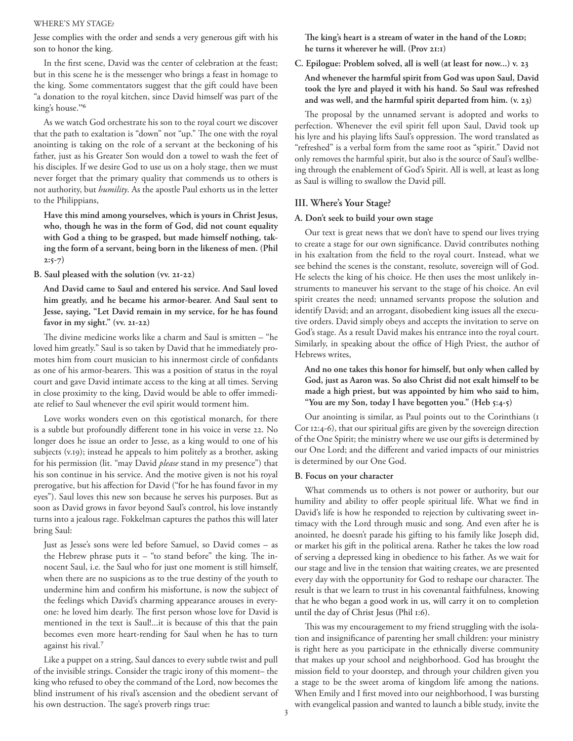#### WHERE'S MY STAGE?

Jesse complies with the order and sends a very generous gift with his son to honor the king.

In the first scene, David was the center of celebration at the feast; but in this scene he is the messenger who brings a feast in homage to the king. Some commentators suggest that the gift could have been "a donation to the royal kitchen, since David himself was part of the king's house."6

As we watch God orchestrate his son to the royal court we discover that the path to exaltation is "down" not "up." The one with the royal anointing is taking on the role of a servant at the beckoning of his father, just as his Greater Son would don a towel to wash the feet of his disciples. If we desire God to use us on a holy stage, then we must never forget that the primary quality that commends us to others is not authority, but *humility*. As the apostle Paul exhorts us in the letter to the Philippians,

**Have this mind among yourselves, which is yours in Christ Jesus, who, though he was in the form of God, did not count equality with God a thing to be grasped, but made himself nothing, taking the form of a servant, being born in the likeness of men. (Phil 2:5-7)**

**B. Saul pleased with the solution (vv. 21-22)**

**And David came to Saul and entered his service. And Saul loved him greatly, and he became his armor-bearer. And Saul sent to Jesse, saying, "Let David remain in my service, for he has found favor in my sight." (vv. 21-22)**

The divine medicine works like a charm and Saul is smitten – "he loved him greatly." Saul is so taken by David that he immediately promotes him from court musician to his innermost circle of confidants as one of his armor-bearers. This was a position of status in the royal court and gave David intimate access to the king at all times. Serving in close proximity to the king, David would be able to offer immediate relief to Saul whenever the evil spirit would torment him.

Love works wonders even on this egotistical monarch, for there is a subtle but profoundly different tone in his voice in verse 22. No longer does he issue an order to Jesse, as a king would to one of his subjects (v.19); instead he appeals to him politely as a brother, asking for his permission (lit. "may David *please* stand in my presence") that his son continue in his service. And the motive given is not his royal prerogative, but his affection for David ("for he has found favor in my eyes"). Saul loves this new son because he serves his purposes. But as soon as David grows in favor beyond Saul's control, his love instantly turns into a jealous rage. Fokkelman captures the pathos this will later bring Saul:

Just as Jesse's sons were led before Samuel, so David comes – as the Hebrew phrase puts it – "to stand before" the king. The innocent Saul, i.e. the Saul who for just one moment is still himself, when there are no suspicions as to the true destiny of the youth to undermine him and confirm his misfortune, is now the subject of the feelings which David's charming appearance arouses in everyone: he loved him dearly. The first person whose love for David is mentioned in the text is Saul!...it is because of this that the pain becomes even more heart-rending for Saul when he has to turn against his rival.7

Like a puppet on a string, Saul dances to every subtle twist and pull of the invisible strings. Consider the tragic irony of this moment– the king who refused to obey the command of the Lord, now becomes the blind instrument of his rival's ascension and the obedient servant of his own destruction. The sage's proverb rings true:

The king's heart is a stream of water in the hand of the LORD; **he turns it wherever he will. (Prov 21:1)**

**C. Epilogue: Problem solved, all is well (at least for now...) v. 23**

**And whenever the harmful spirit from God was upon Saul, David took the lyre and played it with his hand. So Saul was refreshed and was well, and the harmful spirit departed from him. (v. 23)**

The proposal by the unnamed servant is adopted and works to perfection. Whenever the evil spirit fell upon Saul, David took up his lyre and his playing lifts Saul's oppression. The word translated as "refreshed" is a verbal form from the same root as "spirit." David not only removes the harmful spirit, but also is the source of Saul's wellbeing through the enablement of God's Spirit. All is well, at least as long as Saul is willing to swallow the David pill.

## **III. Where's Your Stage?**

#### **A. Don't seek to build your own stage**

Our text is great news that we don't have to spend our lives trying to create a stage for our own significance. David contributes nothing in his exaltation from the field to the royal court. Instead, what we see behind the scenes is the constant, resolute, sovereign will of God. He selects the king of his choice. He then uses the most unlikely instruments to maneuver his servant to the stage of his choice. An evil spirit creates the need; unnamed servants propose the solution and identify David; and an arrogant, disobedient king issues all the executive orders. David simply obeys and accepts the invitation to serve on God's stage. As a result David makes his entrance into the royal court. Similarly, in speaking about the office of High Priest, the author of Hebrews writes,

**And no one takes this honor for himself, but only when called by God, just as Aaron was. So also Christ did not exalt himself to be made a high priest, but was appointed by him who said to him, "You are my Son, today I have begotten you." (Heb 5:4-5)** 

Our anointing is similar, as Paul points out to the Corinthians (1 Cor 12:4-6), that our spiritual gifts are given by the sovereign direction of the One Spirit; the ministry where we use our gifts is determined by our One Lord; and the different and varied impacts of our ministries is determined by our One God.

#### **B. Focus on your character**

What commends us to others is not power or authority, but our humility and ability to offer people spiritual life. What we find in David's life is how he responded to rejection by cultivating sweet intimacy with the Lord through music and song. And even after he is anointed, he doesn't parade his gifting to his family like Joseph did, or market his gift in the political arena. Rather he takes the low road of serving a depressed king in obedience to his father. As we wait for our stage and live in the tension that waiting creates, we are presented every day with the opportunity for God to reshape our character. The result is that we learn to trust in his covenantal faithfulness, knowing that he who began a good work in us, will carry it on to completion until the day of Christ Jesus (Phil 1:6).

This was my encouragement to my friend struggling with the isolation and insignificance of parenting her small children: your ministry is right here as you participate in the ethnically diverse community that makes up your school and neighborhood. God has brought the mission field to your doorstep, and through your children given you a stage to be the sweet aroma of kingdom life among the nations. When Emily and I first moved into our neighborhood, I was bursting with evangelical passion and wanted to launch a bible study, invite the